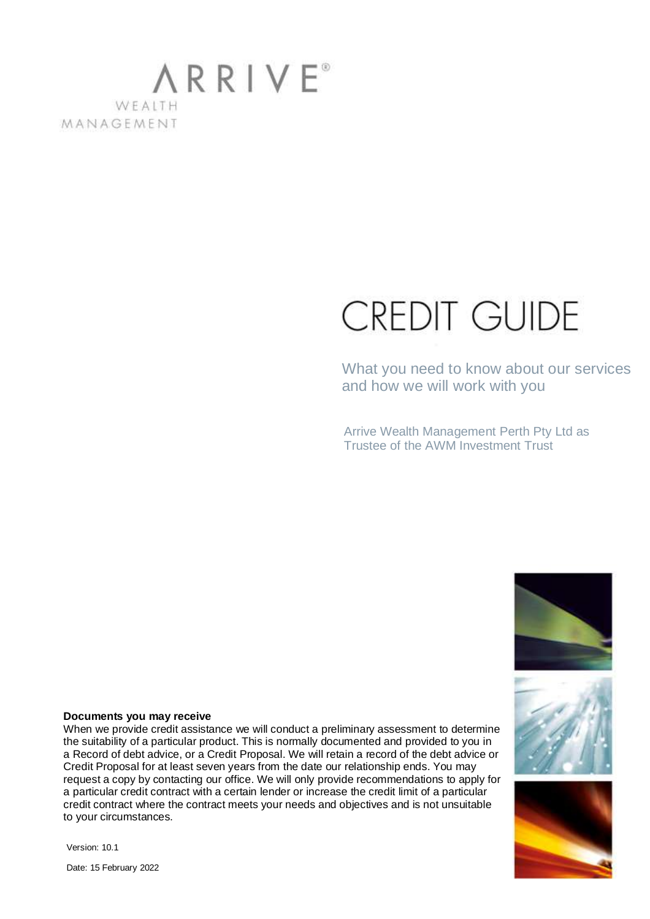### **ARRIVE**<sup>®</sup> WFAITH MANAGEMENT

# **CREDIT GUIDE**

What you need to know about our services and how we will work with you

Arrive Wealth Management Perth Pty Ltd as Trustee of the AWM Investment Trust







#### **Documents you may receive**

When we provide credit assistance we will conduct a preliminary assessment to determine the suitability of a particular product. This is normally documented and provided to you in a Record of debt advice, or a Credit Proposal. We will retain a record of the debt advice or Credit Proposal for at least seven years from the date our relationship ends. You may request a copy by contacting our office. We will only provide recommendations to apply for a particular credit contract with a certain lender or increase the credit limit of a particular credit contract where the contract meets your needs and objectives and is not unsuitable to your circumstances.

Version: 10.1

Date: 15 February 2022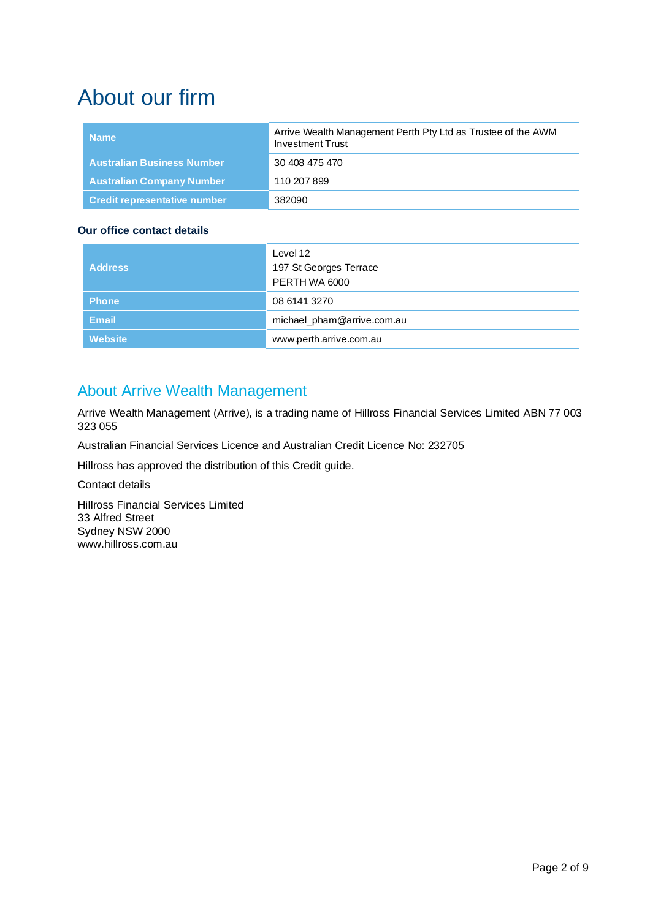# About our firm

| <b>Name</b>                         | Arrive Wealth Management Perth Pty Ltd as Trustee of the AWM<br><b>Investment Trust</b> |
|-------------------------------------|-----------------------------------------------------------------------------------------|
| <b>Australian Business Number</b>   | 30 408 475 470                                                                          |
| <b>Australian Company Number</b>    | 110 207 899                                                                             |
| <b>Credit representative number</b> | 382090                                                                                  |

#### **Our office contact details**

| <b>Address</b> | Level 12                                |
|----------------|-----------------------------------------|
|                | 197 St Georges Terrace<br>PERTH WA 6000 |
|                |                                         |
| <b>Phone</b>   | 08 6141 3270                            |
| <b>Email</b>   | michael_pham@arrive.com.au              |
| Website        | www.perth.arrive.com.au                 |

### About Arrive Wealth Management

Arrive Wealth Management (Arrive), is a trading name of Hillross Financial Services Limited ABN 77 003 323 055

Australian Financial Services Licence and Australian Credit Licence No: 232705

Hillross has approved the distribution of this Credit guide.

Contact details

Hillross Financial Services Limited 33 Alfred Street Sydney NSW 2000 www.hillross.com.au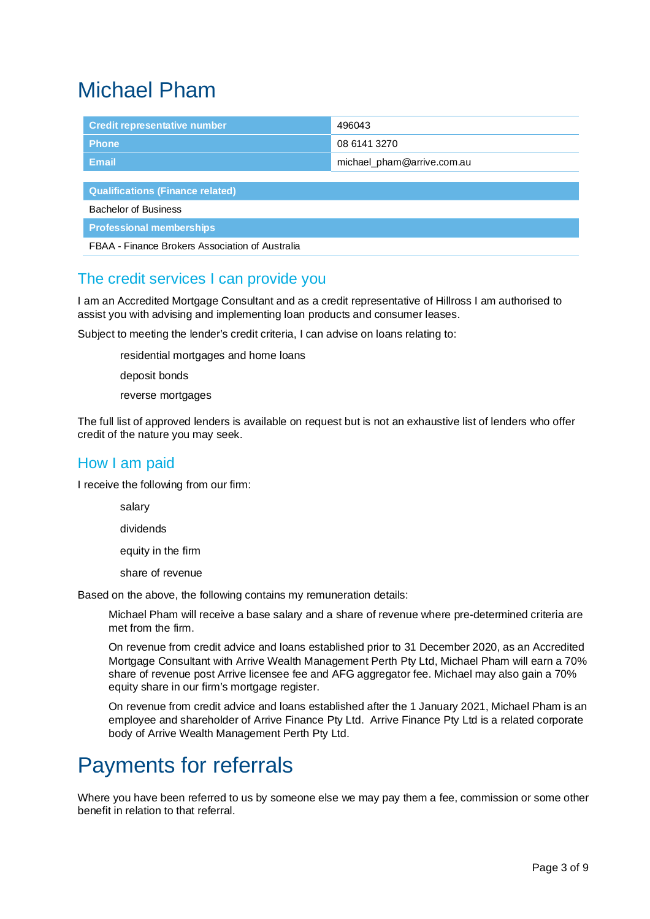# Michael Pham

| <b>Credit representative number</b>             | 496043                     |  |
|-------------------------------------------------|----------------------------|--|
| <b>Phone</b>                                    | 08 6141 3270               |  |
| <b>Email</b>                                    | michael_pham@arrive.com.au |  |
|                                                 |                            |  |
| <b>Qualifications (Finance related)</b>         |                            |  |
| <b>Bachelor of Business</b>                     |                            |  |
| <b>Professional memberships</b>                 |                            |  |
| FBAA - Finance Brokers Association of Australia |                            |  |

### The credit services I can provide you

I am an Accredited Mortgage Consultant and as a credit representative of Hillross I am authorised to assist you with advising and implementing loan products and consumer leases.

Subject to meeting the lender's credit criteria, I can advise on loans relating to:

- residential mortgages and home loans
- deposit bonds
- reverse mortgages

The full list of approved lenders is available on request but is not an exhaustive list of lenders who offer credit of the nature you may seek.

### How I am paid

I receive the following from our firm:

- salary
- dividends
- equity in the firm
- share of revenue

Based on the above, the following contains my remuneration details:

- Michael Pham will receive a base salary and a share of revenue where pre-determined criteria are met from the firm.
- On revenue from credit advice and loans established prior to 31 December 2020, as an Accredited Mortgage Consultant with Arrive Wealth Management Perth Pty Ltd, Michael Pham will earn a 70% share of revenue post Arrive licensee fee and AFG aggregator fee. Michael may also gain a 70% equity share in our firm's mortgage register.
- On revenue from credit advice and loans established after the 1 January 2021, Michael Pham is an employee and shareholder of Arrive Finance Pty Ltd. Arrive Finance Pty Ltd is a related corporate body of Arrive Wealth Management Perth Pty Ltd.

# Payments for referrals

Where you have been referred to us by someone else we may pay them a fee, commission or some other benefit in relation to that referral.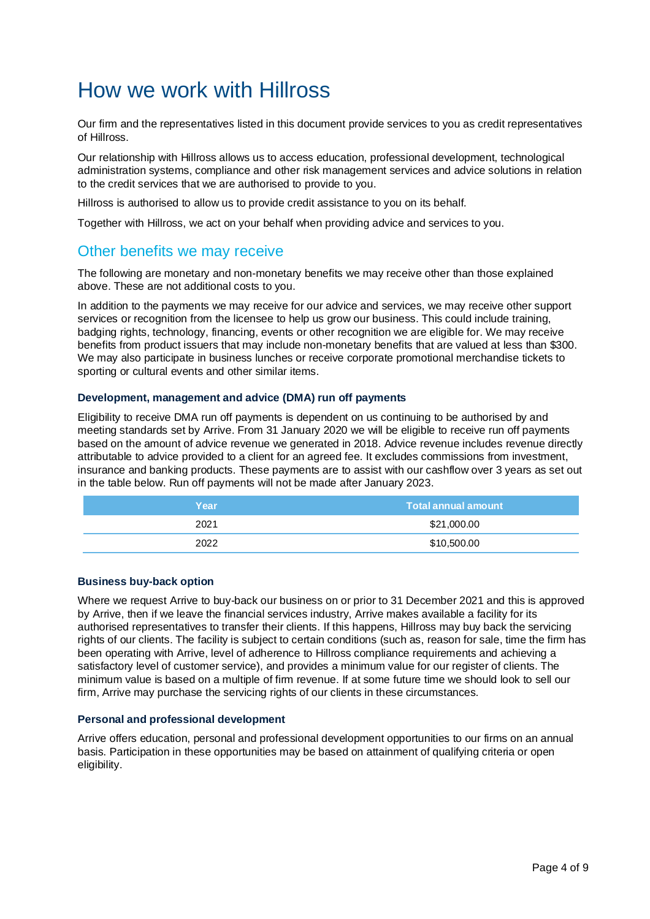# How we work with Hillross

Our firm and the representatives listed in this document provide services to you as credit representatives of Hillross.

Our relationship with Hillross allows us to access education, professional development, technological administration systems, compliance and other risk management services and advice solutions in relation to the credit services that we are authorised to provide to you.

Hillross is authorised to allow us to provide credit assistance to you on its behalf.

Together with Hillross, we act on your behalf when providing advice and services to you.

### Other benefits we may receive

The following are monetary and non-monetary benefits we may receive other than those explained above. These are not additional costs to you.

In addition to the payments we may receive for our advice and services, we may receive other support services or recognition from the licensee to help us grow our business. This could include training, badging rights, technology, financing, events or other recognition we are eligible for. We may receive benefits from product issuers that may include non-monetary benefits that are valued at less than \$300. We may also participate in business lunches or receive corporate promotional merchandise tickets to sporting or cultural events and other similar items.

#### **Development, management and advice (DMA) run off payments**

Eligibility to receive DMA run off payments is dependent on us continuing to be authorised by and meeting standards set by Arrive. From 31 January 2020 we will be eligible to receive run off payments based on the amount of advice revenue we generated in 2018. Advice revenue includes revenue directly attributable to advice provided to a client for an agreed fee. It excludes commissions from investment, insurance and banking products. These payments are to assist with our cashflow over 3 years as set out in the table below. Run off payments will not be made after January 2023.

| Year | <b>Total annual amount</b> |
|------|----------------------------|
| 2021 | \$21,000.00                |
| 2022 | \$10,500.00                |

#### **Business buy-back option**

Where we request Arrive to buy-back our business on or prior to 31 December 2021 and this is approved by Arrive, then if we leave the financial services industry, Arrive makes available a facility for its authorised representatives to transfer their clients. If this happens, Hillross may buy back the servicing rights of our clients. The facility is subject to certain conditions (such as, reason for sale, time the firm has been operating with Arrive, level of adherence to Hillross compliance requirements and achieving a satisfactory level of customer service), and provides a minimum value for our register of clients. The minimum value is based on a multiple of firm revenue. If at some future time we should look to sell our firm, Arrive may purchase the servicing rights of our clients in these circumstances.

#### **Personal and professional development**

Arrive offers education, personal and professional development opportunities to our firms on an annual basis. Participation in these opportunities may be based on attainment of qualifying criteria or open eligibility.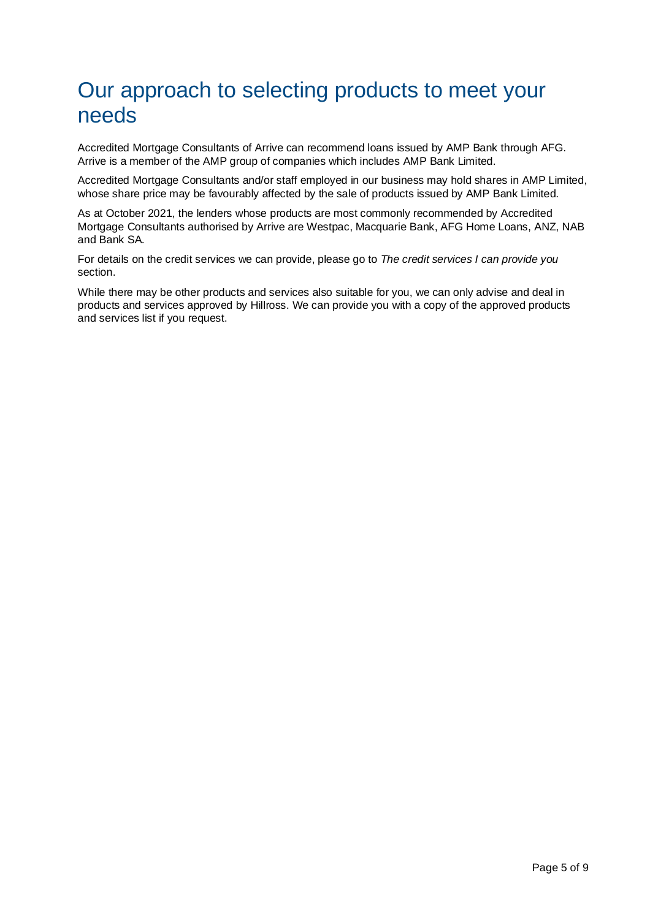# Our approach to selecting products to meet your needs

Accredited Mortgage Consultants of Arrive can recommend loans issued by AMP Bank through AFG. Arrive is a member of the AMP group of companies which includes AMP Bank Limited.

Accredited Mortgage Consultants and/or staff employed in our business may hold shares in AMP Limited, whose share price may be favourably affected by the sale of products issued by AMP Bank Limited.

As at October 2021, the lenders whose products are most commonly recommended by Accredited Mortgage Consultants authorised by Arrive are Westpac, Macquarie Bank, AFG Home Loans, ANZ, NAB and Bank SA.

For details on the credit services we can provide, please go to The credit services I can provide you section.

While there may be other products and services also suitable for you, we can only advise and deal in products and services approved by Hillross. We can provide you with a copy of the approved products and services list if you request.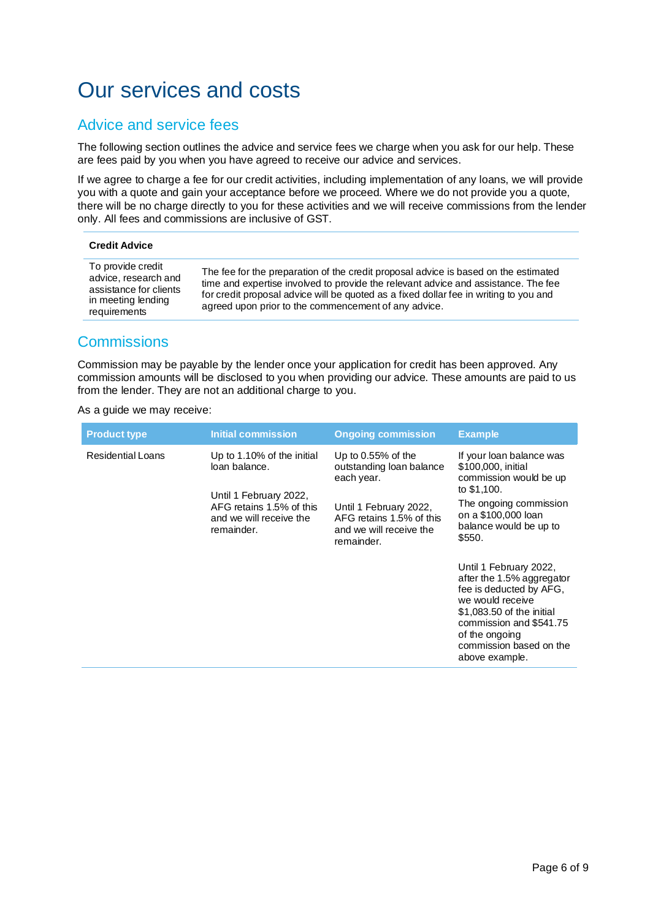# Our services and costs

### Advice and service fees

The following section outlines the advice and service fees we charge when you ask for our help. These are fees paid by you when you have agreed to receive our advice and services.

If we agree to charge a fee for our credit activities, including implementation of any loans, we will provide you with a quote and gain your acceptance before we proceed. Where we do not provide you a quote, there will be no charge directly to you for these activities and we will receive commissions from the lender only. All fees and commissions are inclusive of GST.

#### **Credit Advice**

| To provide credit<br>advice, research and<br>assistance for clients<br>in meeting lending<br>requirements | The fee for the preparation of the credit proposal advice is based on the estimated<br>time and expertise involved to provide the relevant advice and assistance. The fee<br>for credit proposal advice will be quoted as a fixed dollar fee in writing to you and<br>agreed upon prior to the commencement of any advice. |
|-----------------------------------------------------------------------------------------------------------|----------------------------------------------------------------------------------------------------------------------------------------------------------------------------------------------------------------------------------------------------------------------------------------------------------------------------|
|-----------------------------------------------------------------------------------------------------------|----------------------------------------------------------------------------------------------------------------------------------------------------------------------------------------------------------------------------------------------------------------------------------------------------------------------------|

### **Commissions**

Commission may be payable by the lender once your application for credit has been approved. Any commission amounts will be disclosed to you when providing our advice. These amounts are paid to us from the lender. They are not an additional charge to you.

As a guide we may receive:

| <b>Product type</b>                                                                                                                                                    | Initial commission                                                                          | <b>Ongoing commission</b>                                                                        | <b>Example</b>                                                                                                                                                                                                            |
|------------------------------------------------------------------------------------------------------------------------------------------------------------------------|---------------------------------------------------------------------------------------------|--------------------------------------------------------------------------------------------------|---------------------------------------------------------------------------------------------------------------------------------------------------------------------------------------------------------------------------|
| <b>Residential Loans</b><br>Up to 1.10% of the initial<br>loan balance.<br>Until 1 February 2022,<br>AFG retains 1.5% of this<br>and we will receive the<br>remainder. |                                                                                             | Up to $0.55%$ of the<br>outstanding loan balance<br>each year.                                   | If your loan balance was<br>\$100,000, initial<br>commission would be up                                                                                                                                                  |
|                                                                                                                                                                        | Until 1 February 2022,<br>AFG retains 1.5% of this<br>and we will receive the<br>remainder. | to \$1,100.<br>The ongoing commission<br>on a \$100,000 loan<br>balance would be up to<br>\$550. |                                                                                                                                                                                                                           |
|                                                                                                                                                                        |                                                                                             |                                                                                                  | Until 1 February 2022,<br>after the 1.5% aggregator<br>fee is deducted by AFG,<br>we would receive<br>\$1,083.50 of the initial<br>commission and \$541.75<br>of the ongoing<br>commission based on the<br>above example. |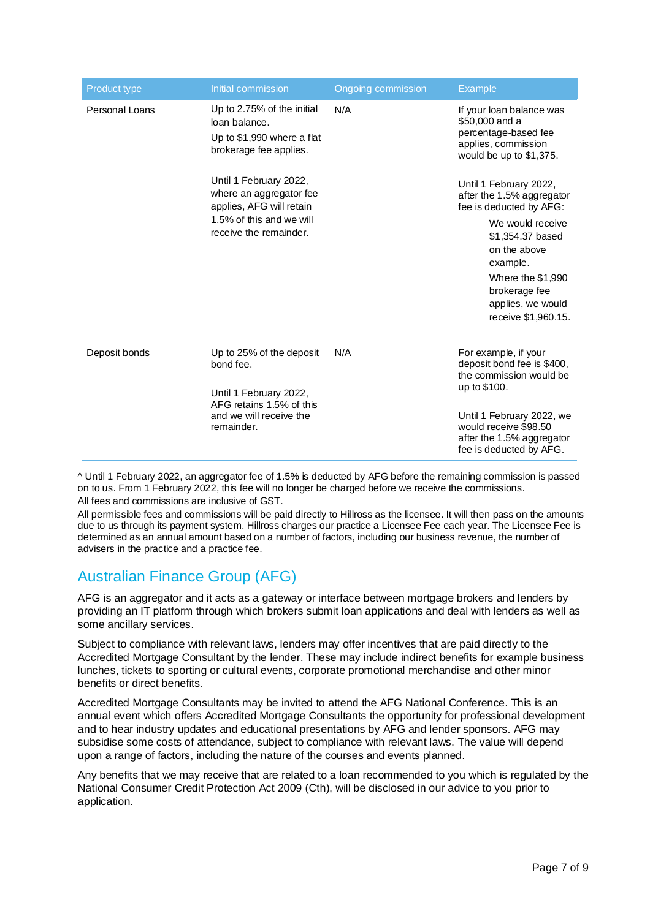| Product type   | Initial commission                                                                                                                  | Ongoing commission | <b>Example</b>                                                                                                                                                                                                                       |
|----------------|-------------------------------------------------------------------------------------------------------------------------------------|--------------------|--------------------------------------------------------------------------------------------------------------------------------------------------------------------------------------------------------------------------------------|
| Personal Loans | Up to 2.75% of the initial<br>loan balance.<br>Up to $$1,990$ where a flat<br>brokerage fee applies.                                | N/A                | If your loan balance was<br>\$50,000 and a<br>percentage-based fee<br>applies, commission<br>would be up to \$1,375.                                                                                                                 |
|                | Until 1 February 2022,<br>where an aggregator fee<br>applies, AFG will retain<br>1.5% of this and we will<br>receive the remainder. |                    | Until 1 February 2022,<br>after the 1.5% aggregator<br>fee is deducted by AFG:<br>We would receive<br>\$1,354.37 based<br>on the above<br>example.<br>Where the \$1,990<br>brokerage fee<br>applies, we would<br>receive \$1,960.15. |
| Deposit bonds  | Up to 25% of the deposit<br>bond fee.<br>Until 1 February 2022,<br>AFG retains 1.5% of this                                         | N/A                | For example, if your<br>deposit bond fee is \$400,<br>the commission would be<br>up to \$100.                                                                                                                                        |
|                | and we will receive the<br>remainder.                                                                                               |                    | Until 1 February 2022, we<br>would receive \$98.50<br>after the 1.5% aggregator<br>fee is deducted by AFG.                                                                                                                           |

^ Until 1 February 2022, an aggregator fee of 1.5% is deducted by AFG before the remaining commission is passed on to us. From 1 February 2022, this fee will no longer be charged before we receive the commissions.

All fees and commissions are inclusive of GST.

All permissible fees and commissions will be paid directly to Hillross as the licensee. It will then pass on the amounts due to us through its payment system. Hillross charges our practice a Licensee Fee each year. The Licensee Fee is determined as an annual amount based on a number of factors, including our business revenue, the number of advisers in the practice and a practice fee.

### Australian Finance Group (AFG)

AFG is an aggregator and it acts as a gateway or interface between mortgage brokers and lenders by providing an IT platform through which brokers submit loan applications and deal with lenders as well as some ancillary services.

Subject to compliance with relevant laws, lenders may offer incentives that are paid directly to the Accredited Mortgage Consultant by the lender. These may include indirect benefits for example business lunches, tickets to sporting or cultural events, corporate promotional merchandise and other minor benefits or direct benefits.

Accredited Mortgage Consultants may be invited to attend the AFG National Conference. This is an annual event which offers Accredited Mortgage Consultants the opportunity for professional development and to hear industry updates and educational presentations by AFG and lender sponsors. AFG may subsidise some costs of attendance, subject to compliance with relevant laws. The value will depend upon a range of factors, including the nature of the courses and events planned.

Any benefits that we may receive that are related to a loan recommended to you which is regulated by the National Consumer Credit Protection Act 2009 (Cth), will be disclosed in our advice to you prior to application.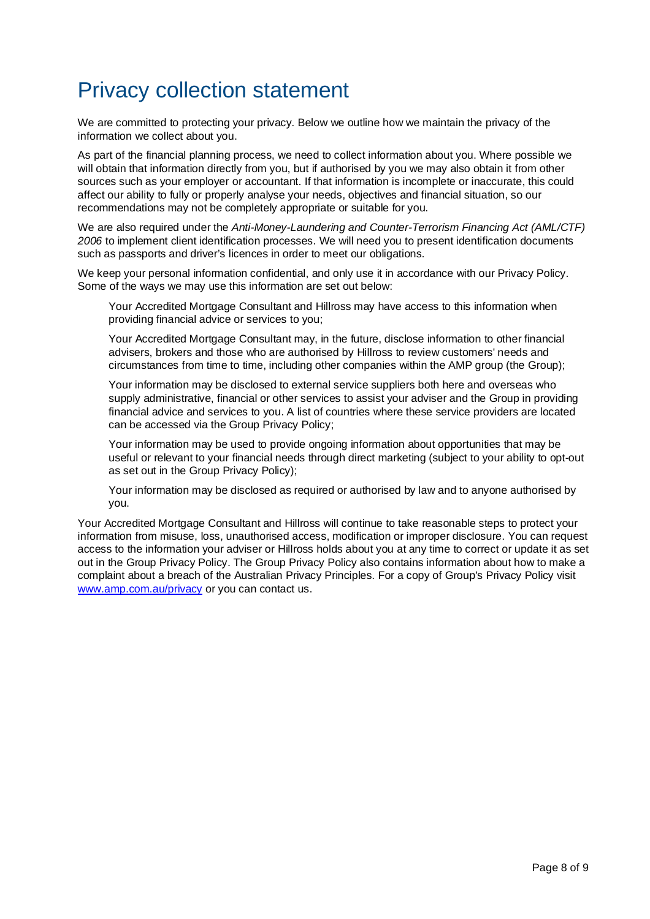# Privacy collection statement

We are committed to protecting your privacy. Below we outline how we maintain the privacy of the information we collect about you.

As part of the financial planning process, we need to collect information about you. Where possible we will obtain that information directly from you, but if authorised by you we may also obtain it from other sources such as your employer or accountant. If that information is incomplete or inaccurate, this could affect our ability to fully or properly analyse your needs, objectives and financial situation, so our recommendations may not be completely appropriate or suitable for you.

We are also required under the Anti-Money-Laundering and Counter-Terrorism Financing Act (AML/CTF) 2006 to implement client identification processes. We will need you to present identification documents such as passports and driver's licences in order to meet our obligations.

We keep your personal information confidential, and only use it in accordance with our Privacy Policy. Some of the ways we may use this information are set out below:

- Your Accredited Mortgage Consultant and Hillross may have access to this information when providing financial advice or services to you;
- Your Accredited Mortgage Consultant may, in the future, disclose information to other financial advisers, brokers and those who are authorised by Hillross to review customers' needs and circumstances from time to time, including other companies within the AMP group (the Group);
- Your information may be disclosed to external service suppliers both here and overseas who supply administrative, financial or other services to assist your adviser and the Group in providing financial advice and services to you. A list of countries where these service providers are located can be accessed via the Group Privacy Policy;
- Your information may be used to provide ongoing information about opportunities that may be useful or relevant to your financial needs through direct marketing (subject to your ability to opt-out as set out in the Group Privacy Policy);
- Your information may be disclosed as required or authorised by law and to anyone authorised by you.

Your Accredited Mortgage Consultant and Hillross will continue to take reasonable steps to protect your information from misuse, loss, unauthorised access, modification or improper disclosure. You can request access to the information your adviser or Hillross holds about you at any time to correct or update it as set out in the Group Privacy Policy. The Group Privacy Policy also contains information about how to make a complaint about a breach of the Australian Privacy Principles. For a copy of Group's Privacy Policy visit www.amp.com.au/privacy or you can contact us.